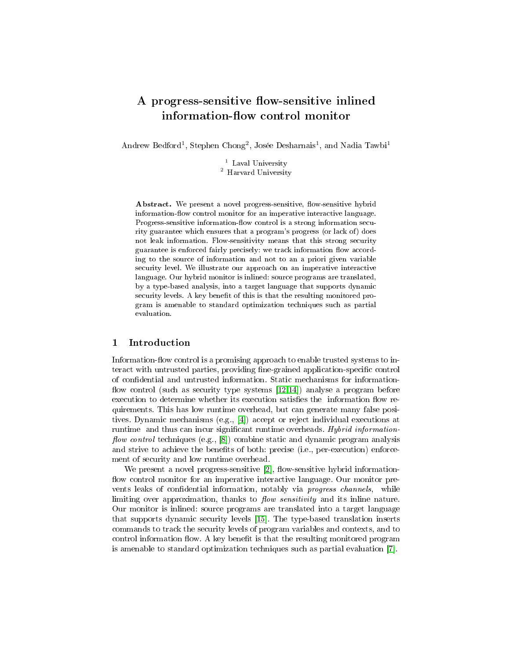# A progress-sensitive flow-sensitive inlined information-flow control monitor

Andrew Bedford<sup>1</sup>, Stephen Chong<sup>2</sup>, Josée Desharnais<sup>1</sup>, and Nadia Tawbi<sup>1</sup>

 $^{\mathrm{1}}$  Laval University <sup>2</sup> Harvard University

Abstract. We present a novel progress-sensitive, flow-sensitive hybrid information-flow control monitor for an imperative interactive language. Progress-sensitive information-flow control is a strong information security guarantee which ensures that a program's progress (or lack of) does not leak information. Flow-sensitivity means that this strong security guarantee is enforced fairly precisely: we track information flow according to the source of information and not to an a priori given variable security level. We illustrate our approach on an imperative interactive language. Our hybrid monitor is inlined: source programs are translated, by a type-based analysis, into a target language that supports dynamic security levels. A key benefit of this is that the resulting monitored program is amenable to standard optimization techniques such as partial evaluation.

## 1 Introduction

Information-flow control is a promising approach to enable trusted systems to interact with untrusted parties, providing fine-grained application-specific control of condential and untrusted information. Static mechanisms for information flow control (such as security type systems  $[12,14]$  $[12,14]$ ) analyse a program before execution to determine whether its execution satisfies the information flow requirements. This has low runtime overhead, but can generate many false positives. Dynamic mechanisms (e.g., [\[4\]](#page-13-2)) accept or reject individual executions at runtime and thus can incur significant runtime overheads. Hybrid information*flow control* techniques (e.g.,  $[8]$ ) combine static and dynamic program analysis and strive to achieve the benefits of both: precise (i.e., per-execution) enforcement of security and low runtime overhead.

We present a novel progress-sensitive  $[2]$ , flow-sensitive hybrid informationflow control monitor for an imperative interactive language. Our monitor prevents leaks of confidential information, notably via *progress channels*, while limiting over approximation, thanks to  $flow$  sensitivity and its inline nature. Our monitor is inlined: source programs are translated into a target language that supports dynamic security levels [\[15\]](#page-13-5). The type-based translation inserts commands to track the security levels of program variables and contexts, and to control information flow. A key benefit is that the resulting monitored program is amenable to standard optimization techniques such as partial evaluation [\[7\]](#page-13-6).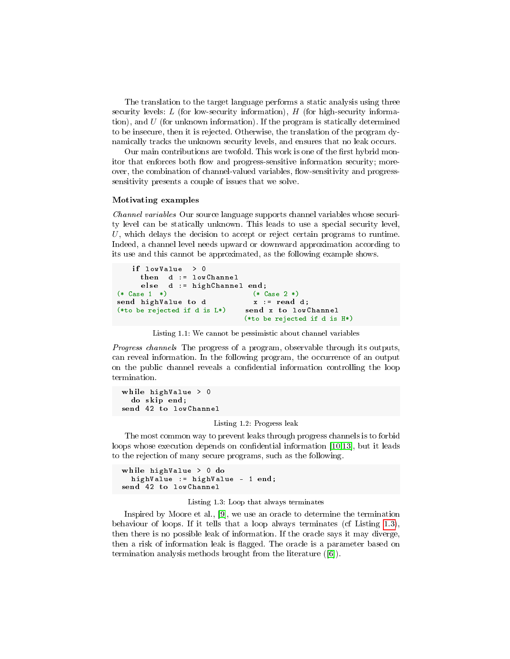The translation to the target language performs a static analysis using three security levels: L (for low-security information),  $H$  (for high-security information), and  $U$  (for unknown information). If the program is statically determined to be insecure, then it is rejected. Otherwise, the translation of the program dynamically tracks the unknown security levels, and ensures that no leak occurs.

Our main contributions are twofold. This work is one of the first hybrid monitor that enforces both flow and progress-sensitive information security; moreover, the combination of channel-valued variables, flow-sensitivity and progresssensitivity presents a couple of issues that we solve.

#### Motivating examples

Channel variables Our source language supports channel variables whose security level can be statically unknown. This leads to use a special security level, U, which delays the decision to accept or reject certain programs to runtime. Indeed, a channel level needs upward or downward approximation according to its use and this cannot be approximated, as the following example shows.

```
if lowValue > 0then d := lowChannel
     else d := highChannel end;(* Case 1 *) (* Case 2 *)
send highValue to d<br>(*to be rejected if d is L*) send x to lowChannel
(*to be rejected if d is L*)
                              (*to be rejected if d is H*)
```
Listing 1.1: We cannot be pessimistic about channel variables

Progress channels The progress of a program, observable through its outputs, can reveal information. In the following program, the occurrence of an output on the public channel reveals a condential information controlling the loop termination.

<span id="page-1-2"></span>while highValue > 0 do sk ip end; send 42 to lowChannel

#### Listing 1.2: Progress leak

The most common way to prevent leaks through progress channels is to forbid loops whose execution depends on confidential information [\[10](#page-13-7)[,13\]](#page-13-8), but it leads to the rejection of many secure programs, such as the following.

```
while highValue > 0 do
  highValue := highValue - 1 end;
send 42 to lowChannel
```
#### Listing 1.3: Loop that always terminates

Inspired by Moore et al., [\[9\]](#page-13-9), we use an oracle to determine the termination behaviour of loops. If it tells that a loop always terminates (cf Listing [1.3\)](#page-1-0), then there is no possible leak of information. If the oracle says it may diverge, then a risk of information leak is flagged. The oracle is a parameter based on termination analysis methods brought from the literature ([\[6\]](#page-13-10)).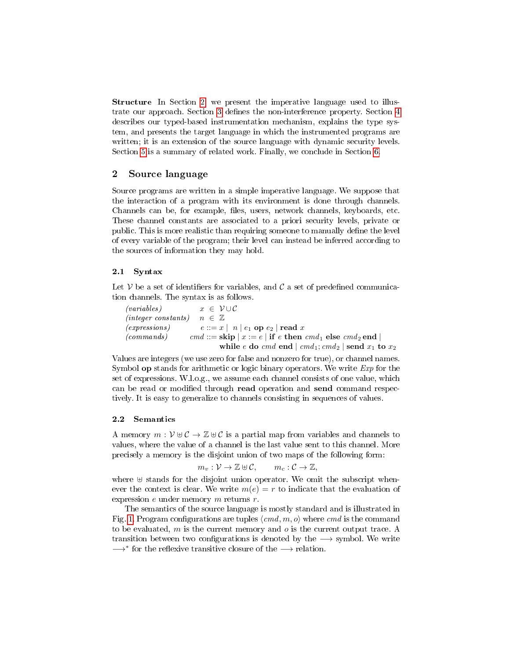Structure In Section [2,](#page-2-0) we present the imperative language used to illus-trate our approach. Section [3](#page-3-0) defines the non-interference property. Section [4](#page-4-0) describes our typed-based instrumentation mechanism, explains the type system, and presents the target language in which the instrumented programs are written; it is an extension of the source language with dynamic security levels. Section [5](#page-11-0) is a summary of related work. Finally, we conclude in Section [6.](#page-12-0)

# <span id="page-2-0"></span>2 Source language

Source programs are written in a simple imperative language. We suppose that the interaction of a program with its environment is done through channels. Channels can be, for example, files, users, network channels, keyboards, etc. These channel constants are associated to a priori security levels, private or public. This is more realistic than requiring someone to manually define the level of every variable of the program; their level can instead be inferred according to the sources of information they may hold.

#### 2.1 Syntax

Let V be a set of identifiers for variables, and  $\mathcal C$  a set of predefined communication channels. The syntax is as follows.

(variables)  $x \in \mathcal{V} \cup \mathcal{C}$ (integer constants)  $n \in \mathbb{Z}$ (expressions)  $e ::= x \mid n \mid e_1$  op  $e_2 \mid \text{read } x$ (commands) cmd ::= skip | x := e | if e then cmd<sub>1</sub> else cmd<sub>2</sub> end | while e do cmd end  $| \text{cmd}_1; \text{cmd}_2 |$  send  $x_1$  to  $x_2$ 

Values are integers (we use zero for false and nonzero for true), or channel names. Symbol **op** stands for arithmetic or logic binary operators. We write *Exp* for the set of expressions. W.l.o.g., we assume each channel consists of one value, which can be read or modified through read operation and send command respectively. It is easy to generalize to channels consisting in sequences of values.

#### 2.2 Semantics

A memory  $m: \mathcal{V} \oplus \mathcal{C} \to \mathbb{Z} \oplus \mathcal{C}$  is a partial map from variables and channels to values, where the value of a channel is the last value sent to this channel. More precisely a memory is the disjoint union of two maps of the following form:

$$
m_v: \mathcal{V} \to \mathbb{Z} \oplus \mathcal{C}, \qquad m_c: \mathcal{C} \to \mathbb{Z},
$$

where  $\uplus$  stands for the disjoint union operator. We omit the subscript whenever the context is clear. We write  $m(e) = r$  to indicate that the evaluation of expression  $e$  under memory  $m$  returns  $r$ .

The semantics of the source language is mostly standard and is illustrated in Fig. [1.](#page-3-1) Program configurations are tuples  $\langle cmd, m, o \rangle$  where cmd is the command to be evaluated, m is the current memory and o is the current output trace. A transition between two configurations is denoted by the  $\rightarrow$  symbol. We write  $\longrightarrow^*$  for the reflexive transitive closure of the  $\longrightarrow$  relation.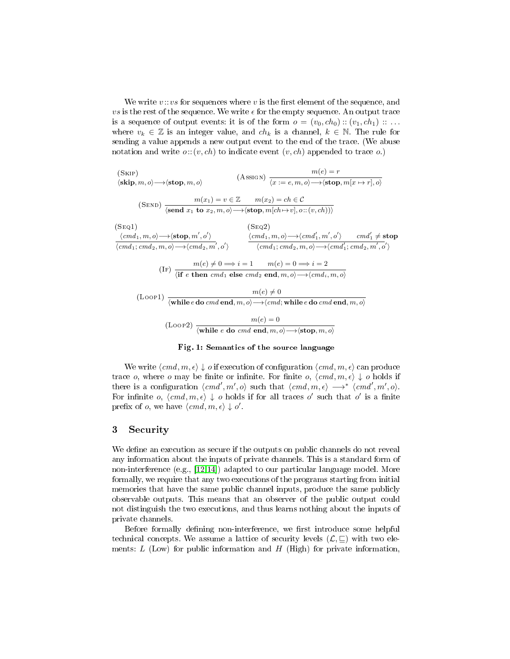We write  $v::vs$  for sequences where v is the first element of the sequence, and vs is the rest of the sequence. We write  $\epsilon$  for the empty sequence. An output trace is a sequence of output events: it is of the form  $o = (v_0, ch_0) :: (v_1, ch_1) :: ...$ where  $v_k \in \mathbb{Z}$  is an integer value, and  $ch_k$  is a channel,  $k \in \mathbb{N}$ . The rule for sending a value appends a new output event to the end of the trace. (We abuse notation and write  $o:(v, ch)$  to indicate event  $(v, ch)$  appended to trace  $o$ .)

<span id="page-3-1"></span>(Skip)  $\langle$ skip, m, o $\rangle \longrightarrow \langle$ stop, m, o $\rangle$  $m(e) = r$  $\langle x := e, m, o \rangle \longrightarrow \langle \textbf{stop}, m[x \mapsto r], o \rangle$ (SEND)  $m(x_1) = v \in \mathbb{Z}$   $m(x_2) = ch \in \mathcal{C}$  $\langle \textbf{send } x_1 \textbf{ to } x_2, m, o \rangle \longrightarrow \langle \textbf{stop}, m[ch \mapsto v], o::(v, ch)) \rangle$  $(SEO1)$  $\langle cmd_1, m, o \rangle \longrightarrow \langle \textbf{stop}, m', o' \rangle$  $\langle cmd_1; cmd_2, m, o \rangle \longrightarrow \langle cmd_2, m', o' \rangle$  $(SEO2)$  $\langle cmd_1, m, o \rangle \longrightarrow \langle cmd'_1, m', o' \rangle \qquad cmd'_1 \neq \textbf{stop}$  $\langle cmd_1; cmd_2, m, o\rangle \longrightarrow \langle cmd_1'; cmd_2, m', o'\rangle$  $m(e) \neq 0 \Longrightarrow i = 1 \qquad m(e) = 0 \Longrightarrow i = 2$  $\langle$  if e then cmd<sub>1</sub> else cmd<sub>2</sub> end, m, o $\rangle \longrightarrow \langle cmd_i, m, o \rangle$  $m(e) \neq 0$ <br> $m(e) \neq 0$  $\langle$ while  $e$  do cmd end, m, o $\rangle \longrightarrow \langle cmd;$  while  $e$  do cmd end, m, o $\rangle$  $(m(e) = 0$  $\langle$  while e do cmd end, m, o $\rangle \longrightarrow \langle$ stop, m, o $\rangle$ 

#### Fig. 1: Semantics of the source language

We write  $\langle cmd, m, \epsilon \rangle \downarrow o$  if execution of configuration  $\langle cmd, m, \epsilon \rangle$  can produce trace o, where o may be finite or infinite. For finite o,  $\langle cmd, m, \epsilon \rangle \downarrow$  o holds if there is a configuration  $\langle cmd', m', o \rangle$  such that  $\langle cmd, m, \epsilon \rangle \longrightarrow^* \langle cmd', m', o \rangle$ . For infinite o,  $\langle cmd, m, \epsilon \rangle \downarrow o$  holds if for all traces o' such that o' is a finite prefix of *o*, we have  $\langle cmd, m, \epsilon \rangle \downarrow o'$ .

## <span id="page-3-0"></span>3 Security

We define an execution as secure if the outputs on public channels do not reveal any information about the inputs of private channels. This is a standard form of non-interference (e.g., [\[12,](#page-13-0)[14\]](#page-13-1)) adapted to our particular language model. More formally, we require that any two executions of the programs starting from initial memories that have the same public channel inputs, produce the same publicly observable outputs. This means that an observer of the public output could not distinguish the two executions, and thus learns nothing about the inputs of private channels.

Before formally defining non-interference, we first introduce some helpful technical concepts. We assume a lattice of security levels  $(\mathcal{L}, \sqsubseteq)$  with two elements:  $L$  (Low) for public information and  $H$  (High) for private information,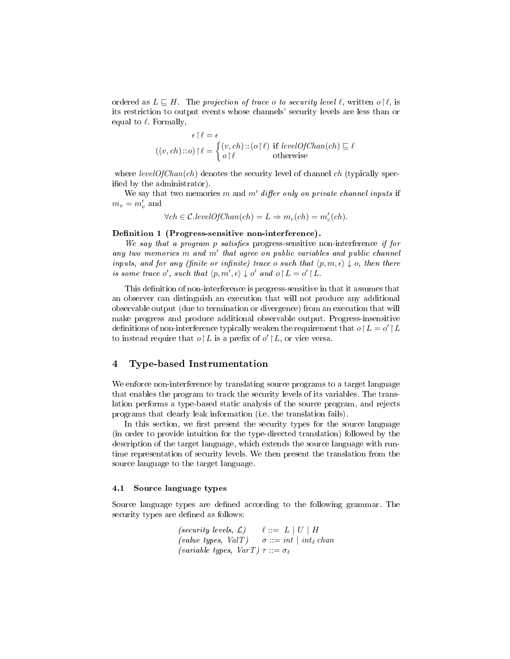ordered as  $L \subseteq H$ . The projection of trace o to security level  $\ell$ , written o  $\ell$ , is its restriction to output events whose channels' security levels are less than or equal to  $\ell$ . Formally,

$$
\epsilon \upharpoonright \ell = \epsilon
$$
  

$$
((v, ch) :: o) \upharpoonright \ell = \begin{cases} (v, ch) :: (o \upharpoonright \ell) & \text{if } levelOfChan(ch) \sqsubseteq \ell \\ o \upharpoonright \ell & \text{otherwise} \end{cases}
$$

where  $levelOfChan(ch)$  denotes the security level of channel ch (typically specified by the administrator).

We say that two memories m and m' differ only on private channel inputs if  $m_v = m'_v$  and

$$
\forall ch \in \mathcal{C}.levelOfChan(ch) = L \Rightarrow m_c(ch) = m'_c(ch).
$$

## <span id="page-4-1"></span>Definition 1 (Progress-sensitive non-interference).

We say that a program p satisfies progress-sensitive non-interference if for any two memories  $m$  and  $m'$  that agree on public variables and public channel inputs, and for any (finite or infinite) trace o such that  $\langle p, m, \epsilon \rangle \downarrow o$ , then there is some trace o', such that  $\langle p, m', \epsilon \rangle \downarrow o'$  and  $o \upharpoonright L = o' \upharpoonright L$ .

This definition of non-interference is progress-sensitive in that it assumes that an observer can distinguish an execution that will not produce any additional observable output (due to termination or divergence) from an execution that will make progress and produce additional observable output. Progress-insensitive definitions of non-interference typically weaken the requirement that  $o\mathord{\restriction} L = o'\mathord{\restriction} L$ to instead require that  $o \restriction L$  is a prefix of  $o' \restriction L$ , or vice versa.

## <span id="page-4-0"></span>4 Type-based Instrumentation

We enforce non-interference by translating source programs to a target language that enables the program to track the security levels of its variables. The translation performs a type-based static analysis of the source program, and rejects programs that clearly leak information (i.e. the translation fails).

In this section, we first present the security types for the source language (in order to provide intuition for the type-directed translation) followed by the description of the target language, which extends the source language with runtime representation of security levels. We then present the translation from the source language to the target language.

#### 4.1 Source language types

Source language types are defined according to the following grammar. The security types are defined as follows:

$$
\begin{array}{ll}\n \text{(security levels, } \mathcal{L}) & \ell ::= L \mid U \mid H \\
 \text{(value types, } \text{Val}T) & \sigma ::= int \mid int_{\ell} \text{ chan} \\
 \text{(variable types, } \text{Var}T) \tau ::= \sigma_{\ell}\n \end{array}
$$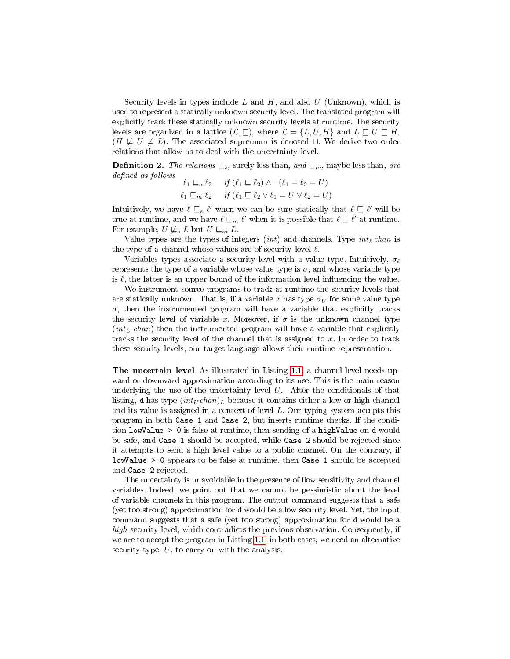Security levels in types include L and H, and also U (Unknown), which is used to represent a statically unknown security level. The translated program will explicitly track these statically unknown security levels at runtime. The security levels are organized in a lattice  $(\mathcal{L}, \sqsubseteq)$ , where  $\mathcal{L} = \{L, U, H\}$  and  $L \sqsubseteq U \sqsubseteq H$ ,  $(H \not\sqsubseteq U \not\sqsubseteq L)$ . The associated supremum is denoted  $\sqcup$ . We derive two order relations that allow us to deal with the uncertainty level.

**Definition 2.** The relations  $\subseteq_s$ , surely less than, and  $\subseteq_m$ , maybe less than, are defined as follows  $11 / 2 = 2 \lambda$  if  $(2 - 1)$   $(1 - 2)$ 

$$
\ell_1 \sqsubseteq_s \ell_2 \quad \text{if } (\ell_1 \sqsubseteq \ell_2) \land \neg(\ell_1 = \ell_2 = U)
$$
  

$$
\ell_1 \sqsubseteq_m \ell_2 \quad \text{if } (\ell_1 \sqsubseteq \ell_2 \lor \ell_1 = U \lor \ell_2 = U)
$$

Intuitively, we have  $\ell \sqsubseteq_s \ell'$  when we can be sure statically that  $\ell \sqsubseteq \ell'$  will be true at runtime, and we have  $\ell \sqsubseteq_m \ell'$  when it is possible that  $\ell \sqsubseteq \ell'$  at runtime. For example,  $U \not\sqsubseteq_s L$  but  $U \sqsubseteq_m L$ .

Value types are the types of integers  $(int)$  and channels. Type  $int_{\ell} chan$  is the type of a channel whose values are of security level  $\ell$ .

Variables types associate a security level with a value type. Intuitively,  $\sigma_{\ell}$ represents the type of a variable whose value type is  $\sigma$ , and whose variable type is  $\ell$ , the latter is an upper bound of the information level influencing the value.

We instrument source programs to track at runtime the security levels that are statically unknown. That is, if a variable x has type  $\sigma_U$  for some value type  $\sigma$ , then the instrumented program will have a variable that explicitly tracks the security level of variable x. Moreover, if  $\sigma$  is the unknown channel type  $(int_U \, chan)$  then the instrumented program will have a variable that explicitly tracks the security level of the channel that is assigned to  $x$ . In order to track these security levels, our target language allows their runtime representation.

The uncertain level As illustrated in Listing [1.1,](#page-1-1) a channel level needs upward or downward approximation according to its use. This is the main reason underlying the use of the uncertainty level  $U$ . After the conditionals of that listing, d has type  $(int_U chan)_L$  because it contains either a low or high channel and its value is assigned in a context of level L. Our typing system accepts this program in both Case 1 and Case 2, but inserts runtime checks. If the condition lowValue > 0 is false at runtime, then sending of a highValue on d would be safe, and Case 1 should be accepted, while Case 2 should be rejected since it attempts to send a high level value to a public channel. On the contrary, if lowValue > 0 appears to be false at runtime, then Case 1 should be accepted and Case 2 rejected.

The uncertainty is unavoidable in the presence of flow sensitivity and channel variables. Indeed, we point out that we cannot be pessimistic about the level of variable channels in this program. The output command suggests that a safe (yet too strong) approximation for d would be a low security level. Yet, the input command suggests that a safe (yet too strong) approximation for d would be a high security level, which contradicts the previous observation. Consequently, if we are to accept the program in Listing [1.1,](#page-1-1) in both cases, we need an alternative security type,  $U$ , to carry on with the analysis.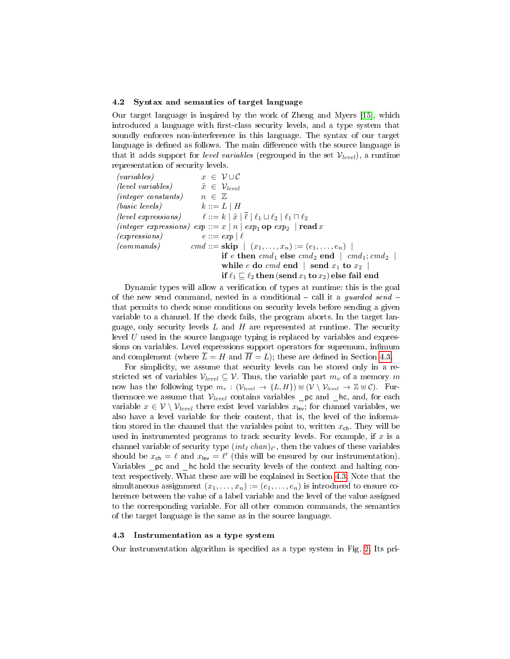#### 4.2 Syntax and semantics of target language

Our target language is inspired by the work of Zheng and Myers [\[15\]](#page-13-5), which introduced a language with first-class security levels, and a type system that soundly enforces non-interference in this language. The syntax of our target language is defined as follows. The main difference with the source language is that it adds support for level variables (regrouped in the set  $V_{level}$ ), a runtime representation of security levels.

 $(variables)$   $x \in \mathcal{V} \cup \mathcal{C}$ (level variables)  $\tilde{x} \in \mathcal{V}_{level}$  $(integer\ constants)$   $n \in \mathbb{Z}$ (basic levels)  $k ::= L \mid H$ (level expressions)  $\ell ::= k | \tilde{x} | \overline{\ell} | \ell_1 \sqcup \ell_2 | \ell_1 \sqcap \ell_2$ (integer expressions)  $exp ::= x | n | exp_1 op exp_2 | read x$  $\ell$  (expressions)  $e ::= exp | \ell$ (commands) cmd ::=  $\mathbf{skip} \mid (x_1, \ldots, x_n) := (e_1, \ldots, e_n) \mid$ if e then  $cmd_1$  else  $cmd_2$  end  $|cmd_1; cmd_2|$ while e do cmd end  $\vert$  send  $x_1$  to  $x_2$   $\vert$ if  $\ell_1 \sqsubseteq \ell_2$  then (send  $x_1$  to  $x_2$ ) else fail end

Dynamic types will allow a verification of types at runtime: this is the goal of the new send command, nested in a conditional  $-$  call it a *guarded send*  $$ that permits to check some conditions on security levels before sending a given variable to a channel. If the check fails, the program aborts. In the target language, only security levels  $L$  and  $H$  are represented at runtime. The security level  $U$  used in the source language typing is replaced by variables and expressions on variables. Level expressions support operators for supremum, infimum and complement (where  $\overline{L} = H$  and  $\overline{H} = L$ ); these are defined in Section [4.3.](#page-6-0)

For simplicity, we assume that security levels can be stored only in a restricted set of variables  $V_{level} \subseteq V$ . Thus, the variable part  $m_v$  of a memory m now has the following type  $m_v : (\mathcal{V}_{level} \to \{L, H\}) \uplus (\mathcal{V} \setminus \mathcal{V}_{level} \to \mathbb{Z} \uplus \mathcal{C})$ . Furthermore we assume that  $V_{level}$  contains variables  $\Box$  pc and  $\Box$  hc, and, for each variable  $x \in V \setminus \mathcal{V}_{level}$  there exist level variables  $x_{\text{lev}}$ ; for channel variables, we also have a level variable for their content, that is, the level of the information stored in the channel that the variables point to, written  $x_{\text{ch}}$ . They will be used in instrumented programs to track security levels. For example, if  $x$  is a channel variable of security type  $(int_\ell\ chan)_{\ell'},$  then the values of these variables should be  $x_{\text{ch}} = \ell$  and  $x_{\text{lev}} = \ell'$  (this will be ensured by our instrumentation). Variables \_pc and \_hc hold the security levels of the context and halting context respectively. What these are will be explained in Section [4.3.](#page-6-0) Note that the simultaneous assignment  $(x_1, \ldots, x_n) := (e_1, \ldots, e_n)$  is introduced to ensure coherence between the value of a label variable and the level of the value assigned to the corresponding variable. For all other common commands, the semantics of the target language is the same as in the source language.

## <span id="page-6-0"></span>4.3 Instrumentation as a type system

Our instrumentation algorithm is specified as a type system in Fig. [2.](#page-7-0) Its pri-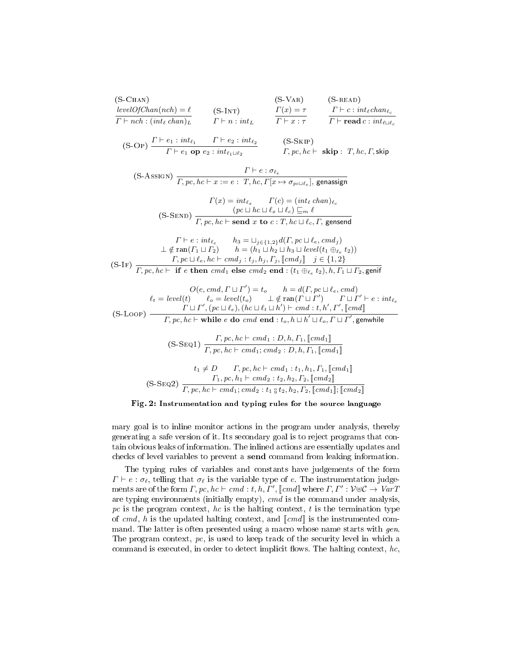<span id="page-7-0"></span>

| $(S$ -CHAN)<br>$levelOfChan(nch) = \ell$                                                                                                               | $(S-INT)$               | $(S-VAR)$<br>$\Gamma(x)=\tau$ | $(S$ -READ)<br>$\Gamma \vdash c : int_{\ell} chan_{\ell}$           |
|--------------------------------------------------------------------------------------------------------------------------------------------------------|-------------------------|-------------------------------|---------------------------------------------------------------------|
| $\Gamma \vdash nch : (int_{\ell} chan)_{L}$                                                                                                            | $\Gamma\vdash n: int_L$ | $\Gamma \vdash x : \tau$      | $\Gamma \vdash \textbf{read } c : int_{\ell \sqcup \ell_c}$         |
| (S-OP) $\frac{\Gamma\vdash e_1 : int_{\ell_1} \qquad \Gamma\vdash e_2 : int_{\ell_2}}{\Gamma\vdash e_1 \textbf{ op } e_2 : int_{\ell_1\sqcup \ell_2}}$ |                         | $(S-SKIP)$                    | $\Gamma, pc, hc \vdash \mathbf{skip}: T, hc, \Gamma, \mathsf{skip}$ |

$$
\text{(S-Assign)} \ \frac{\Gamma \vdash e : \sigma_{\ell_e}}{\Gamma, pc, hc \vdash x := e : \ T, hc, \Gamma[x \mapsto \sigma_{pc \sqcup \ell_e}], \text{genassign}}
$$

(S-Send) Γ(x) = int `<sup>x</sup> Γ(c) = (int ` chan)`<sup>c</sup> (pc t hc t `<sup>x</sup> t `c) v<sup>m</sup> ` Γ, pc, hc ` send x to c : T, hc t `c, Γ, gensend

$$
\Gamma \vdash e : \operatorname{int}_{\ell_e} \qquad h_3 = \sqcup_{j \in \{1,2\}} d(\Gamma, pc \sqcup \ell_e, cmd_j)
$$
\n
$$
\perp \notin \operatorname{ran}(\Gamma_1 \sqcup \Gamma_2) \qquad h = (h_1 \sqcup h_2 \sqcup h_3 \sqcup level(t_1 \oplus_{\ell_e} t_2))
$$
\n
$$
\Gamma, pc \sqcup \ell_e, hc \vdash cmd_j : t_j, h_j, \Gamma_j, \llbracket cmd_j \rrbracket \quad j \in \{1,2\}
$$
\n
$$
\Gamma, pc, hc \vdash \textbf{if } e \textbf{ then } cmd_1 \textbf{ else } cmd_2 \textbf{ end} : (t_1 \oplus_{\ell_e} t_2), h, \Gamma_1 \sqcup \Gamma_2, \textbf{genif}
$$

$$
O(e, cmd, \Gamma \sqcup \Gamma') = t_o \qquad h = d(\Gamma, pc \sqcup \ell_e, cmd)
$$
\n
$$
\ell_t = level(t) \qquad \ell_o = level(t_o) \qquad \perp \notin \operatorname{ran}(\Gamma \sqcup \Gamma') \qquad \Gamma \sqcup \Gamma' \vdash e : int_{\ell_e} \Gamma \sqcup \Gamma' \sqcup \Gamma', (pc \sqcup \ell_e), (hc \sqcup \ell_t \sqcup h') \vdash cmd : t, h', \Gamma', \llbracket cmd \rrbracket
$$
\n
$$
(S\text{-Loop}) \qquad \qquad \Gamma, pc, hc \vdash \textbf{while } e \textbf{ do } cmd \textbf{ end} : t_o, h \sqcup h' \sqcup \ell_o, \Gamma \sqcup \Gamma', \textbf{genwhile}
$$

$$
(S-SEQ1) \frac{\Gamma, pc, hc \vdash cmd_1 : D, h, \Gamma_1, [cmd_1] }{\Gamma, pc, hc \vdash cmd_1; cmd_2 : D, h, \Gamma_1, [cmd_1] }
$$

$$
t_1 \neq D \qquad \Gamma, pc, hc \vdash cmd_1 : t_1, h_1, \Gamma_1, [cmd_1] }
$$

$$
(S-SEQ2) \frac{\Gamma_1, pc, h_1 \vdash cmd_2 : t_2, h_2, \Gamma_2, [cmd_2] }{\Gamma, pc, hc \vdash cmd_1; cmd_2 : t_1, ^0_2t_2, h_2, \Gamma_2, [cmd_1], [cmd_2] }
$$

## Fig. 2: Instrumentation and typing rules for the source language

mary goal is to inline monitor actions in the program under analysis, thereby generating a safe version of it. Its secondary goal is to reject programs that contain obvious leaks of information. The inlined actions are essentially updates and checks of level variables to prevent a send command from leaking information.

The typing rules of variables and constants have judgements of the form  $\Gamma \vdash e : \sigma_{\ell}$ , telling that  $\sigma_{\ell}$  is the variable type of e. The instrumentation judgements are of the form  $\Gamma, pc, hc \vdash cmd : t, h, \Gamma', \llbracket cmd \rrbracket$  where  $\Gamma, \Gamma' : \mathcal{V} \oplus \mathcal{C} \rightarrow VarT$ are typing environments (initially empty),  $cmd$  is the command under analysis, pc is the program context, hc is the halting context, t is the termination type of cmd, h is the updated halting context, and  $\llbracket cmd \rrbracket$  is the instrumented command. The latter is often presented using a macro whose name starts with *gen*. The program context,  $pc$ , is used to keep track of the security level in which a command is executed, in order to detect implicit flows. The halting context,  $hc$ ,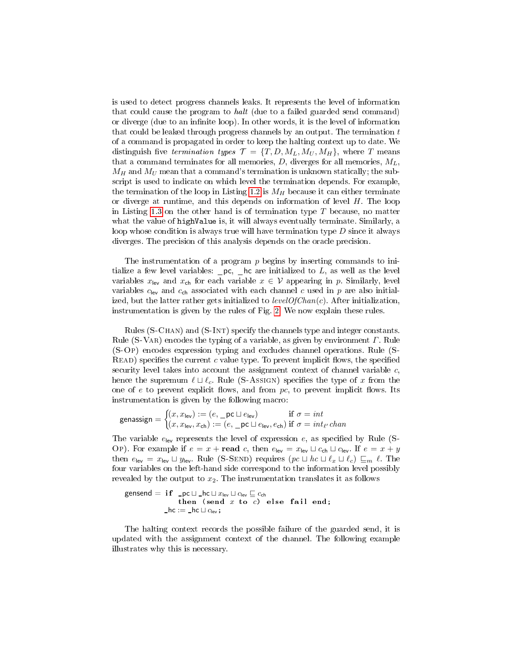is used to detect progress channels leaks. It represents the level of information that could cause the program to halt (due to a failed guarded send command) or diverge (due to an infinite loop). In other words, it is the level of information that could be leaked through progress channels by an output. The termination  $t$ of a command is propagated in order to keep the halting context up to date. We distinguish five termination types  $\mathcal{T} = \{T, D, M_L, M_U, M_H\}$ , where T means that a command terminates for all memories, D, diverges for all memories,  $M_L$ ,  $M_H$  and  $M_U$  mean that a command's termination is unknown statically; the subscript is used to indicate on which level the termination depends. For example, the termination of the loop in Listing [1.2](#page-1-2) is  $M_H$  because it can either terminate or diverge at runtime, and this depends on information of level  $H$ . The loop in Listing [1.3](#page-1-0) on the other hand is of termination type  $T$  because, no matter what the value of highValue is, it will always eventually terminate. Similarly, a loop whose condition is always true will have termination type  $D$  since it always diverges. The precision of this analysis depends on the oracle precision.

The instrumentation of a program  $p$  begins by inserting commands to initialize a few level variables:  $pc$ , hc are initialized to  $L$ , as well as the level variables  $x_{\text{lev}}$  and  $x_{\text{ch}}$  for each variable  $x \in V$  appearing in p. Similarly, level variables  $c_{\text{lev}}$  and  $c_{\text{ch}}$  associated with each channel c used in p are also initialized, but the latter rather gets initialized to  $levelOfChan(c)$ . After initialization, instrumentation is given by the rules of Fig. [2.](#page-7-0) We now explain these rules.

Rules (S-Chan) and (S-Int) specify the channels type and integer constants. Rule (S-VaR) encodes the typing of a variable, as given by environment  $\Gamma$ . Rule (S-Op) encodes expression typing and excludes channel operations. Rule (S- $READ)$  specifies the current c value type. To prevent implicit flows, the specified security level takes into account the assignment context of channel variable  $c$ , hence the supremum  $\ell \sqcup \ell_c$ . Rule (S-Assign) specifies the type of x from the one of  $e$  to prevent explicit flows, and from  $pc$ , to prevent implicit flows. Its instrumentation is given by the following macro:

$$
\text{genassign} = \begin{cases} (x, x_{\text{lev}}) := (e, \_\text{pc} \sqcup e_{\text{lev}}) & \text{if } \sigma = int \\ (x, x_{\text{lev}}, x_{\text{ch}}) := (e, \_\text{pc} \sqcup e_{\text{lev}}, e_{\text{ch}}) & \text{if } \sigma = int_{\ell'} \text{chan} \end{cases}
$$

The variable  $e_{\text{lev}}$  represents the level of expression e, as specified by Rule (S-Op). For example if  $e = x + \text{read } c$ , then  $e_{\text{lev}} = x_{\text{lev}} \sqcup c_{\text{ch}} \sqcup c_{\text{lev}}$ . If  $e = x + y$ then  $e_{\text{lev}} = x_{\text{lev}} \sqcup y_{\text{lev}}$ . Rule (S-SEND) requires  $(\rho c \sqcup hc \sqcup \ell_x \sqcup \ell_c) \sqsubseteq_m \ell$ . The four variables on the left-hand side correspond to the information level possibly revealed by the output to  $x_2$ . The instrumentation translates it as follows

gensend = i f \_pc t \_hc t xlev t clev v cch then (send x to c) e l s e f a i l end; \_hc := \_hc t clev;

The halting context records the possible failure of the guarded send, it is updated with the assignment context of the channel. The following example illustrates why this is necessary.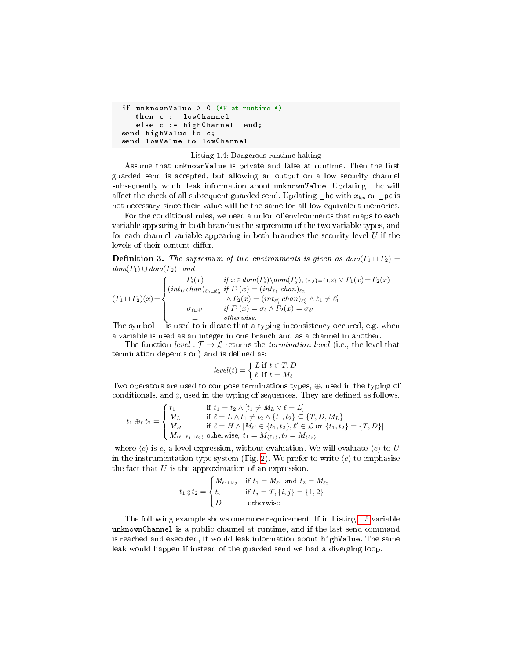```
if unknownValue > 0 (*H at runtime *)
   then c := lowChannel
   else c := highChannel end;send highValue to c;
send lowValue to lowChannel
```
#### Listing 1.4: Dangerous runtime halting

Assume that unknownValue is private and false at runtime. Then the first guarded send is accepted, but allowing an output on a low security channel subsequently would leak information about unknownValue. Updating hc will affect the check of all subsequent guarded send. Updating  $\lfloor$  hc with  $x_{\text{lev}}$  or  $\lfloor$  pc is not necessary since their value will be the same for all low-equivalent memories.

For the conditional rules, we need a union of environments that maps to each variable appearing in both branches the supremum of the two variable types, and for each channel variable appearing in both branches the security level  $U$  if the levels of their content differ.

**Definition 3.** The supremum of two environments is given as  $dom(\Gamma_1 \sqcup \Gamma_2)$  =  $dom(\Gamma_1) \cup dom(\Gamma_2)$ , and

$$
(I_1 \sqcup I_2)(x) = \begin{cases} \n\int_{i}^{T_i}(x) \quad \text{if } x \in dom(\Gamma_i) \setminus dom(\Gamma_j), \{i,j\} = \{1,2\} \vee \Gamma_1(x) = \Gamma_2(x) \\
\text{(int_U chan)}_{\ell_2 \sqcup \ell'_2} \quad \text{if } \Gamma_1(x) = (\int_{\ell_1}^{T_i} chan)_{\ell'_2} \\
\quad \wedge \Gamma_2(x) = (\int_{\ell_1}^{T_i} chan)_{\ell'_2} \wedge \ell_1 \neq \ell'_1 \\
\sigma_{\ell \sqcup \ell'} \quad \text{if } \Gamma_1(x) = \sigma_{\ell} \wedge \Gamma_2(x) = \sigma_{\ell'} \\
\perp \quad \text{otherwise.} \n\end{cases}
$$

The symbol  $\perp$  is used to indicate that a typing inconsistency occured, e.g. when a variable is used as an integer in one branch and as a channel in another.

The function level :  $\mathcal{T} \to \mathcal{L}$  returns the termination level (i.e., the level that termination depends on) and is defined as:

$$
level(t) = \begin{cases} L \text{ if } t \in T, D \\ \ell \text{ if } t = M_{\ell} \end{cases}
$$

Two operators are used to compose terminations types, ⊕, used in the typing of conditionals, and  $_{9}$ , used in the typing of sequences. They are defined as follows.

$$
t_1 \oplus_{\ell} t_2 = \begin{cases} t_1 & \text{if } t_1 = t_2 \land [t_1 \neq M_L \lor \ell = L] \\ M_L & \text{if } \ell = L \land t_1 \neq t_2 \land \{t_1, t_2\} \subseteq \{T, D, M_L\} \\ M_H & \text{if } \ell = H \land [M_{\ell'} \in \{t_1, t_2\}, \ell' \in \mathcal{L} \text{ or } \{t_1, t_2\} = \{T, D\}] \\ M_{\ell \sqcup \ell_1 \sqcup \ell_2} & \text{otherwise, } t_1 = M_{\langle \ell_1 \rangle}, t_2 = M_{\langle \ell_2 \rangle} \end{cases}
$$

where  $\langle e \rangle$  is e, a level expression, without evaluation. We will evaluate  $\langle e \rangle$  to U in the instrumentation type system (Fig. [2\)](#page-7-0). We prefer to write  $\langle e \rangle$  to emphasise the fact that  $U$  is the approximation of an expression.

$$
t_1 \, {}^{\scriptscriptstyle\circ}_{5} t_2 = \begin{cases} M_{\ell_1 \sqcup \ell_2} & \text{if } t_1 = M_{\ell_1} \text{ and } t_2 = M_{\ell_2} \\ t_i & \text{if } t_j = T, \{i, j\} = \{1, 2\} \\ D & \text{otherwise} \end{cases}
$$

The following example shows one more requirement. If in Listing [1.5](#page-10-0) variable unknownChannel is a public channel at runtime, and if the last send command is reached and executed, it would leak information about highValue. The same leak would happen if instead of the guarded send we had a diverging loop.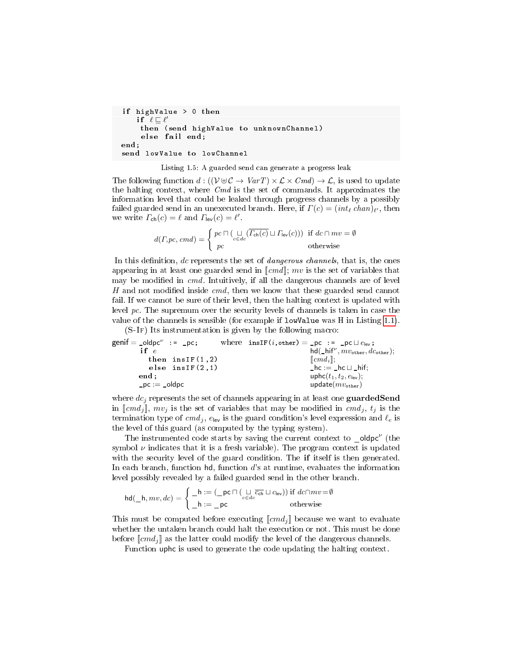```
if highValue > 0 then
    i f \mathscr{C} \sqsubseteq \ell'then (send highValue to unknownChannel )
     else fail end;
end;
send lowValue to lowChannel
```


The following function  $d: ((\mathcal{V} \oplus \mathcal{C} \to \text{Var} T) \times \mathcal{L} \times \text{C} m d) \to \mathcal{L}$ , is used to update the halting context, where  $Cmd$  is the set of commands. It approximates the information level that could be leaked through progress channels by a possibly failed guarded send in an unexecuted branch. Here, if  $\varGamma(c) = (\operatorname{int}_\ell \operatorname{chan})_{\ell'},$  then we write  $\Gamma_{\text{ch}}(c) = \ell$  and  $\Gamma_{\text{lev}}(c) = \ell'$ .

$$
d(\Gamma, pc, cmd) = \begin{cases} pc \sqcap (\bigcup_{c \in dc} (\overline{\Gamma_{\text{ch}}(c)} \sqcup \Gamma_{\text{lev}}(c))) & \text{if } dc \cap mv = \emptyset \\ pc & \text{otherwise} \end{cases}
$$

In this definition, dc represents the set of *dangerous channels*, that is, the ones appearing in at least one guarded send in  $\llbracket cmd \rrbracket$ ; mv is the set of variables that may be modified in  $cmd$ . Intuitively, if all the dangerous channels are of level H and not modified inside  $cmd$ , then we know that these guarded send cannot fail. If we cannot be sure of their level, then the halting context is updated with level pc. The supremum over the security levels of channels is taken in case the value of the channels is sensible (for example if lowValue was H in Listing [1.1\)](#page-1-1).

(S-If) Its instrumentation is given by the following macro:

| $\mathsf{genif} = \mathsf{_{\_}}\mathsf{oldpc}^\nu \ := \ \mathsf{_{\_}}\mathsf{pc};$ | where $insIF(i,other) = pc := pc \sqcup e_{lev};$ |
|---------------------------------------------------------------------------------------|---------------------------------------------------|
| if $e$                                                                                | $hd(\_hif^\nu, mv_{other}, dc_{other});$          |
| then $insIF(1,2)$                                                                     | $\ cmd_i\ $ :                                     |
| else $insIF(2,1)$                                                                     | $h c := h c \sqcup h$ if:                         |
| end:                                                                                  | uphc $(t_1, t_2, e_{\text{lev}});$                |
| $pc :=$ oldpc                                                                         | update $(mv_{other})$                             |

where  $dc_j$  represents the set of channels appearing in at least one guarded Send in  $\llbracket cmd_i \rrbracket$ ,  $mv_i$  is the set of variables that may be modified in  $cmd_i$ ,  $t_i$  is the termination type of  $cmd<sub>j</sub>$ ,  $e_{\text{lev}}$  is the guard condition's level expression and  $\ell_e$  is the level of this guard (as computed by the typing system).

The instrumented code starts by saving the current context to  $\Box$ oldpc<sup> $\nu$ </sup> (the symbol  $\nu$  indicates that it is a fresh variable). The program context is updated with the security level of the guard condition. The **if** itself is then generated. In each branch, function  $\mathsf{hd}$ , function  $d$ 's at runtime, evaluates the information level possibly revealed by a failed guarded send in the other branch.

$$
\mathsf{hd}(\_\mathsf{h},mv,dc) = \begin{cases} \_\mathsf{h} := (\_\mathsf{pc} \sqcap (\underset{c \in dc}{\sqcup} \overline{c_{\mathsf{ch}}} \sqcup c_{\mathsf{lev}})) \text{ if } dc \cap mv = \emptyset \\ \_\mathsf{h} := \_\mathsf{pc} \qquad \qquad \text{otherwise} \end{cases}
$$

This must be computed before executing  $\llbracket cmd_j \rrbracket$  because we want to evaluate whether the untaken branch could halt the execution or not. This must be done before  $\llbracket cmd_i \rrbracket$  as the latter could modify the level of the dangerous channels.

Function uphc is used to generate the code updating the halting context.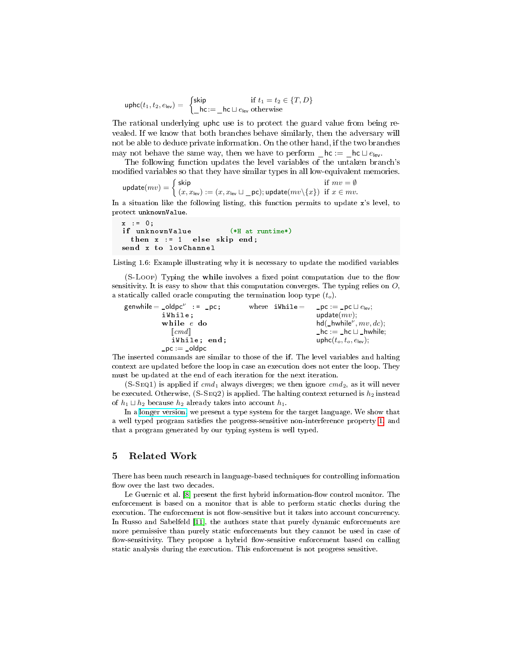$$
\mathsf{uphc}(t_1, t_2, e_{\mathsf{lev}}) = \begin{cases} \mathsf{skip} & \text{if } t_1 = t_2 \in \{T, D\} \\ \_ \mathsf{hc} := \_ \mathsf{hc} \sqcup e_{\mathsf{lev}} \text{ otherwise} \end{cases}
$$

The rational underlying uphc use is to protect the guard value from being revealed. If we know that both branches behave similarly, then the adversary will not be able to deduce private information. On the other hand, if the two branches may not behave the same way, then we have to perform  $\mathcal{L}$  hc :=  $\mathcal{L}$  hc  $\cup$   $e_{\mathsf{lev}}$ .

The following function updates the level variables of the untaken branch's modified variables so that they have similar types in all low-equivalent memories.

$$
\text{update}(mv) = \begin{cases} \text{skip} & \text{if } mv = \emptyset \\ (x, x_{\text{lev}}) := (x, x_{\text{lev}} \sqcup \_ \text{pc}); \text{update}(mv \setminus \{x\}) & \text{if } x \in mv. \end{cases}
$$

In a situation like the following listing, this function permits to update x's level, to protect unknownValue.

```
x : = 0;if unknownValue (*H at runtime*)
 then x := 1 else skip end:
send x to lowChannel
```
Listing 1.6: Example illustrating why it is necessary to update the modified variables

(S-Loop) Typing the while involves a fixed point computation due to the flow sensitivity. It is easy to show that this computation converges. The typing relies on  $O$ , a statically called oracle computing the termination loop type  $(t_o)$ .

|  | update $(mv)$ :                           |
|--|-------------------------------------------|
|  | $hd(\_hwhile^{\nu}, mv, dc);$             |
|  | $h c := h c \sqcup h$ while;              |
|  | uphc $(t_o, t_o, e_{\text{lev}});$        |
|  |                                           |
|  | where iWhile = $pc := pc \sqcup e_{lev};$ |

The inserted commands are similar to those of the if. The level variables and halting context are updated before the loop in case an execution does not enter the loop. They must be updated at the end of each iteration for the next iteration.

 $(S-SEQ1)$  is applied if  $cmd<sub>1</sub>$  always diverges; we then ignore  $cmd<sub>2</sub>$ , as it will never be executed. Otherwise,  $(S-SEQ2)$  is applied. The halting context returned is  $h_2$  instead of  $h_1 \sqcup h_2$  because  $h_2$  already takes into account  $h_1$ .

In a [longer version,](https://drive.google.com/file/d/0B6UAN3Jd1Fg0eW55ejVmMkg0R1E) we present a type system for the target language. We show that a well typed program satisfies the progress-sensitive non-interference property [1,](#page-4-1) and that a program generated by our typing system is well typed.

## <span id="page-11-0"></span>5 Related Work

There has been much research in language-based techniques for controlling information flow over the last two decades.

Le Guernic et al.  $[8]$  present the first hybrid information-flow control monitor. The enforcement is based on a monitor that is able to perform static checks during the execution. The enforcement is not flow-sensitive but it takes into account concurrency. In Russo and Sabelfeld [\[11\]](#page-13-11), the authors state that purely dynamic enforcements are more permissive than purely static enforcements but they cannot be used in case of flow-sensitivity. They propose a hybrid flow-sensitive enforcement based on calling static analysis during the execution. This enforcement is not progress sensitive.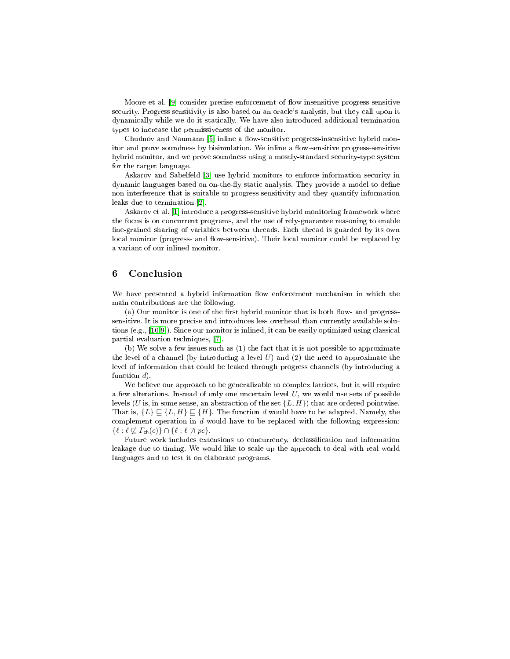Moore et al. [\[9\]](#page-13-9) consider precise enforcement of flow-insensitive progress-sensitive security. Progress sensitivity is also based on an oracle's analysis, but they call upon it dynamically while we do it statically. We have also introduced additional termination types to increase the permissiveness of the monitor.

Chudnov and Naumann [\[5\]](#page-13-12) inline a flow-sensitive progress-insensitive hybrid monitor and prove soundness by bisimulation. We inline a flow-sensitive progress-sensitive hybrid monitor, and we prove soundness using a mostly-standard security-type system for the target language.

Askarov and Sabelfeld [\[3\]](#page-13-13) use hybrid monitors to enforce information security in dynamic languages based on on-the-fly static analysis. They provide a model to define non-interference that is suitable to progress-sensitivity and they quantify information leaks due to termination [\[2\]](#page-13-4).

Askarov et al. [\[1\]](#page-13-14) introduce a progress-sensitive hybrid monitoring framework where the focus is on concurrent programs, and the use of rely-guarantee reasoning to enable fine-grained sharing of variables between threads. Each thread is guarded by its own local monitor (progress- and flow-sensitive). Their local monitor could be replaced by a variant of our inlined monitor.

# <span id="page-12-0"></span>6 Conclusion

We have presented a hybrid information flow enforcement mechanism in which the main contributions are the following.

(a) Our monitor is one of the first hybrid monitor that is both flow- and progresssensitive. It is more precise and introduces less overhead than currently available solutions (e.g., [\[10,](#page-13-7)[9\]](#page-13-9)). Since our monitor is inlined, it can be easily optimized using classical partial evaluation techniques, [\[7\]](#page-13-6).

(b) We solve a few issues such as (1) the fact that it is not possible to approximate the level of a channel (by introducing a level  $U$ ) and  $(2)$  the need to approximate the level of information that could be leaked through progress channels (by introducing a function  $d$ .

We believe our approach to be generalizable to complex lattices, but it will require a few alterations. Instead of only one uncertain level  $U$ , we would use sets of possible levels (U is, in some sense, an abstraction of the set  $\{L, H\}$ ) that are ordered pointwise. That is,  $\{L\} \sqsubseteq \{L, H\} \sqsubseteq \{H\}.$  The function d would have to be adapted. Namely, the complement operation in  $d$  would have to be replaced with the following expression:  $\{\ell : \ell \not\sqsubseteq \Gamma_{\mathsf{ch}}(c)\}\cap \{\ell : \ell \not\sqsupseteq pc\}.$ 

Future work includes extensions to concurrency, declassication and information leakage due to timing. We would like to scale up the approach to deal with real world languages and to test it on elaborate programs.